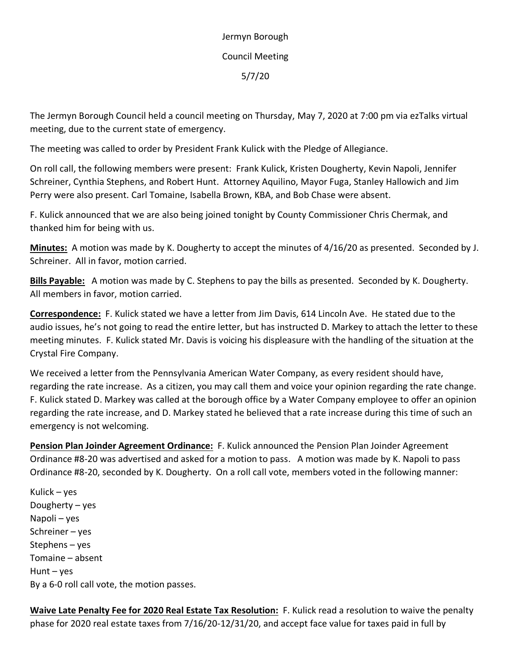Jermyn Borough Council Meeting 5/7/20

The Jermyn Borough Council held a council meeting on Thursday, May 7, 2020 at 7:00 pm via ezTalks virtual meeting, due to the current state of emergency.

The meeting was called to order by President Frank Kulick with the Pledge of Allegiance.

On roll call, the following members were present: Frank Kulick, Kristen Dougherty, Kevin Napoli, Jennifer Schreiner, Cynthia Stephens, and Robert Hunt. Attorney Aquilino, Mayor Fuga, Stanley Hallowich and Jim Perry were also present. Carl Tomaine, Isabella Brown, KBA, and Bob Chase were absent.

F. Kulick announced that we are also being joined tonight by County Commissioner Chris Chermak, and thanked him for being with us.

**Minutes:** A motion was made by K. Dougherty to accept the minutes of 4/16/20 as presented. Seconded by J. Schreiner. All in favor, motion carried.

**Bills Payable:** A motion was made by C. Stephens to pay the bills as presented. Seconded by K. Dougherty. All members in favor, motion carried.

**Correspondence:** F. Kulick stated we have a letter from Jim Davis, 614 Lincoln Ave. He stated due to the audio issues, he's not going to read the entire letter, but has instructed D. Markey to attach the letter to these meeting minutes. F. Kulick stated Mr. Davis is voicing his displeasure with the handling of the situation at the Crystal Fire Company.

We received a letter from the Pennsylvania American Water Company, as every resident should have, regarding the rate increase. As a citizen, you may call them and voice your opinion regarding the rate change. F. Kulick stated D. Markey was called at the borough office by a Water Company employee to offer an opinion regarding the rate increase, and D. Markey stated he believed that a rate increase during this time of such an emergency is not welcoming.

**Pension Plan Joinder Agreement Ordinance:** F. Kulick announced the Pension Plan Joinder Agreement Ordinance #8-20 was advertised and asked for a motion to pass. A motion was made by K. Napoli to pass Ordinance #8-20, seconded by K. Dougherty. On a roll call vote, members voted in the following manner:

Kulick – yes Dougherty – yes Napoli – yes Schreiner – yes Stephens – yes Tomaine – absent Hunt – yes By a 6-0 roll call vote, the motion passes.

**Waive Late Penalty Fee for 2020 Real Estate Tax Resolution:** F. Kulick read a resolution to waive the penalty phase for 2020 real estate taxes from 7/16/20-12/31/20, and accept face value for taxes paid in full by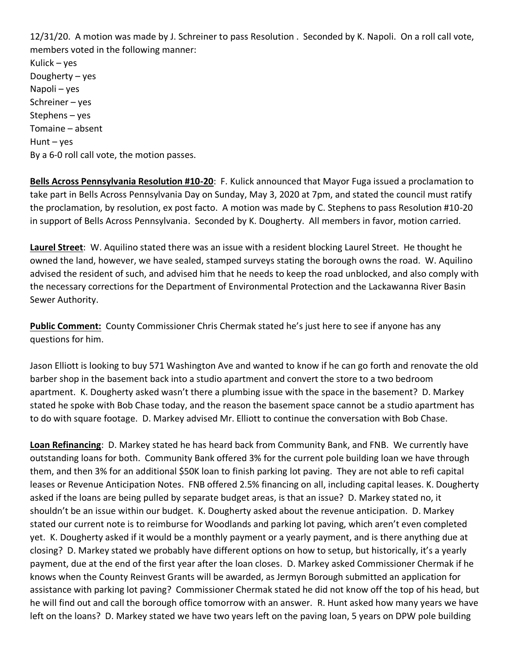12/31/20. A motion was made by J. Schreiner to pass Resolution . Seconded by K. Napoli. On a roll call vote, members voted in the following manner: Kulick – yes Dougherty – yes Napoli – yes Schreiner – yes Stephens – yes Tomaine – absent Hunt –  $yes$ By a 6-0 roll call vote, the motion passes.

**Bells Across Pennsylvania Resolution #10-20**: F. Kulick announced that Mayor Fuga issued a proclamation to take part in Bells Across Pennsylvania Day on Sunday, May 3, 2020 at 7pm, and stated the council must ratify the proclamation, by resolution, ex post facto. A motion was made by C. Stephens to pass Resolution #10-20 in support of Bells Across Pennsylvania. Seconded by K. Dougherty. All members in favor, motion carried.

**Laurel Street**: W. Aquilino stated there was an issue with a resident blocking Laurel Street. He thought he owned the land, however, we have sealed, stamped surveys stating the borough owns the road. W. Aquilino advised the resident of such, and advised him that he needs to keep the road unblocked, and also comply with the necessary corrections for the Department of Environmental Protection and the Lackawanna River Basin Sewer Authority.

**Public Comment:** County Commissioner Chris Chermak stated he's just here to see if anyone has any questions for him.

Jason Elliott is looking to buy 571 Washington Ave and wanted to know if he can go forth and renovate the old barber shop in the basement back into a studio apartment and convert the store to a two bedroom apartment. K. Dougherty asked wasn't there a plumbing issue with the space in the basement? D. Markey stated he spoke with Bob Chase today, and the reason the basement space cannot be a studio apartment has to do with square footage. D. Markey advised Mr. Elliott to continue the conversation with Bob Chase.

**Loan Refinancing**: D. Markey stated he has heard back from Community Bank, and FNB. We currently have outstanding loans for both. Community Bank offered 3% for the current pole building loan we have through them, and then 3% for an additional \$50K loan to finish parking lot paving. They are not able to refi capital leases or Revenue Anticipation Notes. FNB offered 2.5% financing on all, including capital leases. K. Dougherty asked if the loans are being pulled by separate budget areas, is that an issue? D. Markey stated no, it shouldn't be an issue within our budget. K. Dougherty asked about the revenue anticipation. D. Markey stated our current note is to reimburse for Woodlands and parking lot paving, which aren't even completed yet. K. Dougherty asked if it would be a monthly payment or a yearly payment, and is there anything due at closing? D. Markey stated we probably have different options on how to setup, but historically, it's a yearly payment, due at the end of the first year after the loan closes. D. Markey asked Commissioner Chermak if he knows when the County Reinvest Grants will be awarded, as Jermyn Borough submitted an application for assistance with parking lot paving? Commissioner Chermak stated he did not know off the top of his head, but he will find out and call the borough office tomorrow with an answer. R. Hunt asked how many years we have left on the loans? D. Markey stated we have two years left on the paving loan, 5 years on DPW pole building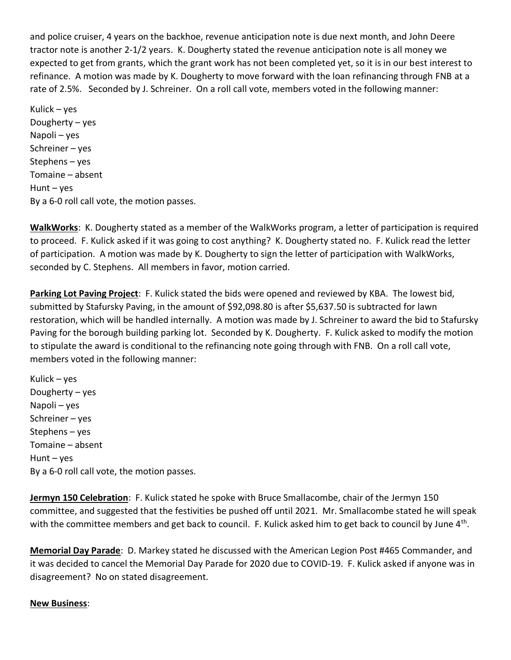and police cruiser, 4 years on the backhoe, revenue anticipation note is due next month, and John Deere tractor note is another 2-1/2 years. K. Dougherty stated the revenue anticipation note is all money we expected to get from grants, which the grant work has not been completed yet, so it is in our best interest to refinance. A motion was made by K. Dougherty to move forward with the loan refinancing through FNB at a rate of 2.5%. Seconded by J. Schreiner. On a roll call vote, members voted in the following manner:

Kulick – yes Dougherty – yes Napoli – yes Schreiner – yes Stephens – yes Tomaine – absent Hunt –  $yes$ By a 6-0 roll call vote, the motion passes.

**WalkWorks**: K. Dougherty stated as a member of the WalkWorks program, a letter of participation is required to proceed. F. Kulick asked if it was going to cost anything? K. Dougherty stated no. F. Kulick read the letter of participation. A motion was made by K. Dougherty to sign the letter of participation with WalkWorks, seconded by C. Stephens. All members in favor, motion carried.

**Parking Lot Paving Project**: F. Kulick stated the bids were opened and reviewed by KBA. The lowest bid, submitted by Stafursky Paving, in the amount of \$92,098.80 is after \$5,637.50 is subtracted for lawn restoration, which will be handled internally. A motion was made by J. Schreiner to award the bid to Stafursky Paving for the borough building parking lot. Seconded by K. Dougherty. F. Kulick asked to modify the motion to stipulate the award is conditional to the refinancing note going through with FNB. On a roll call vote, members voted in the following manner:

Kulick – yes Dougherty – yes Napoli – yes Schreiner – yes Stephens – yes Tomaine – absent  $H$ unt – yes By a 6-0 roll call vote, the motion passes.

**Jermyn 150 Celebration**: F. Kulick stated he spoke with Bruce Smallacombe, chair of the Jermyn 150 committee, and suggested that the festivities be pushed off until 2021. Mr. Smallacombe stated he will speak with the committee members and get back to council. F. Kulick asked him to get back to council by June 4<sup>th</sup>.

**Memorial Day Parade**: D. Markey stated he discussed with the American Legion Post #465 Commander, and it was decided to cancel the Memorial Day Parade for 2020 due to COVID-19. F. Kulick asked if anyone was in disagreement? No on stated disagreement.

## **New Business**: